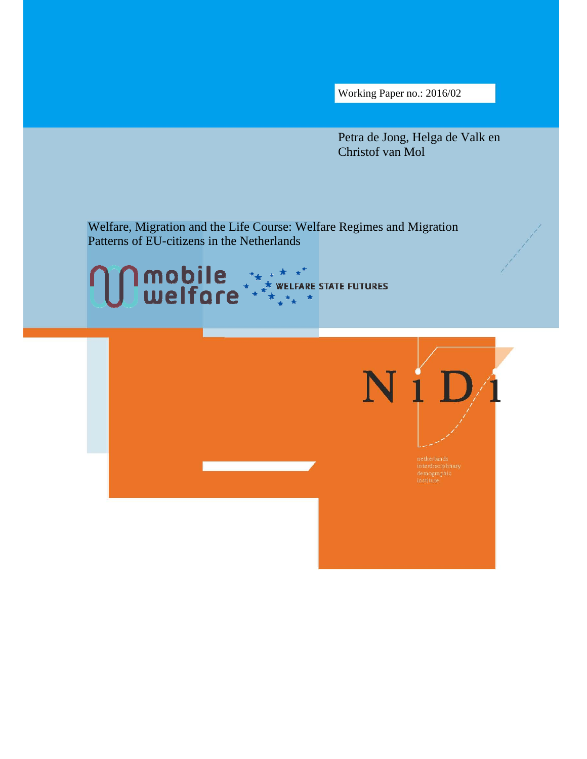Working Paper no.: 2016/02

Petra de Jong, Helga de Valk en Christof van Mol

Welfare, Migration and the Life Course: Welfare Regimes and Migration Patterns of EU-citizens in the Netherlands



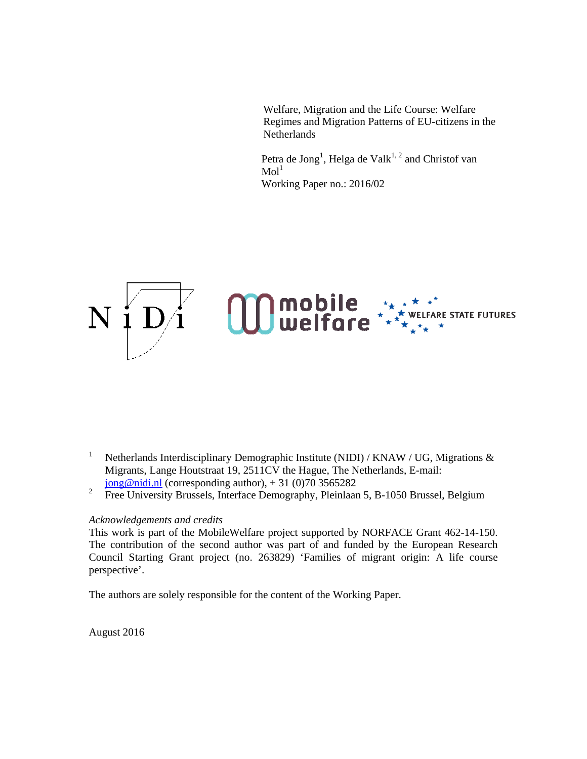Welfare, Migration and the Life Course: Welfare Regimes and Migration Patterns of EU-citizens in the Netherlands

Petra de Jong<sup>1</sup>, Helga de Valk<sup>1, 2</sup> and Christof van  $\mathrm{Mol}^1$ Working Paper no.: 2016/02



- 1 Netherlands Interdisciplinary Demographic Institute (NIDI) / KNAW / UG, Migrations & Migrants, Lange Houtstraat 19, 2511CV the Hague, The Netherlands, E-mail:  $jong@nidi.nl$  (corresponding author),  $+31$  (0)70 3565282
- 2 Free University Brussels, Interface Demography, Pleinlaan 5, B-1050 Brussel, Belgium

# *Acknowledgements and credits*

This work is part of the MobileWelfare project supported by NORFACE Grant 462-14-150. The contribution of the second author was part of and funded by the European Research Council Starting Grant project (no. 263829) 'Families of migrant origin: A life course perspective'.

The authors are solely responsible for the content of the Working Paper.

August 2016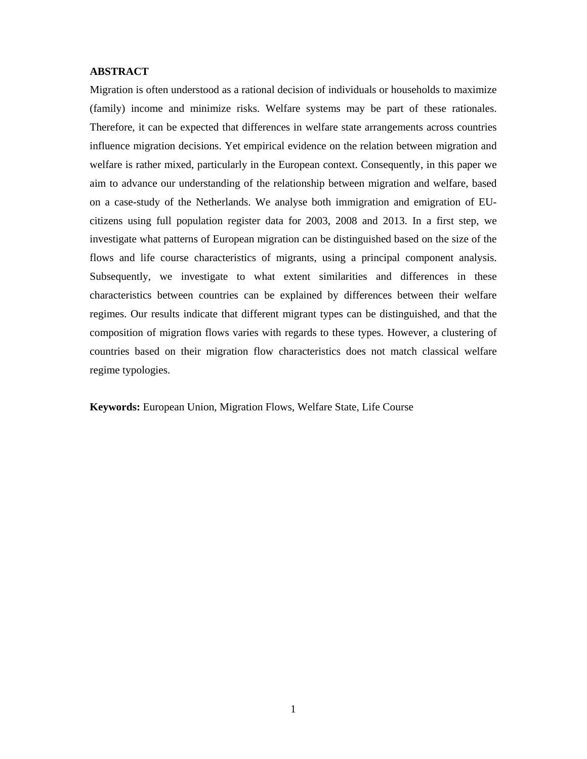# **ABSTRACT**

Migration is often understood as a rational decision of individuals or households to maximize (family) income and minimize risks. Welfare systems may be part of these rationales. Therefore, it can be expected that differences in welfare state arrangements across countries influence migration decisions. Yet empirical evidence on the relation between migration and welfare is rather mixed, particularly in the European context. Consequently, in this paper we aim to advance our understanding of the relationship between migration and welfare, based on a case-study of the Netherlands. We analyse both immigration and emigration of EUcitizens using full population register data for 2003, 2008 and 2013. In a first step, we investigate what patterns of European migration can be distinguished based on the size of the flows and life course characteristics of migrants, using a principal component analysis. Subsequently, we investigate to what extent similarities and differences in these characteristics between countries can be explained by differences between their welfare regimes. Our results indicate that different migrant types can be distinguished, and that the composition of migration flows varies with regards to these types. However, a clustering of countries based on their migration flow characteristics does not match classical welfare regime typologies.

**Keywords:** European Union, Migration Flows, Welfare State, Life Course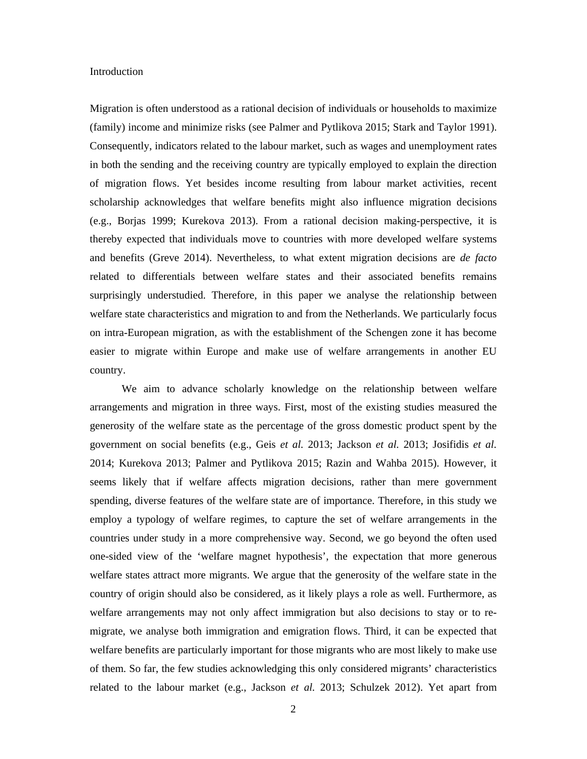### **Introduction**

Migration is often understood as a rational decision of individuals or households to maximize (family) income and minimize risks (see Palmer and Pytlikova 2015; Stark and Taylor 1991). Consequently, indicators related to the labour market, such as wages and unemployment rates in both the sending and the receiving country are typically employed to explain the direction of migration flows. Yet besides income resulting from labour market activities, recent scholarship acknowledges that welfare benefits might also influence migration decisions (e.g., Borjas 1999; Kurekova 2013). From a rational decision making-perspective, it is thereby expected that individuals move to countries with more developed welfare systems and benefits (Greve 2014). Nevertheless, to what extent migration decisions are *de facto* related to differentials between welfare states and their associated benefits remains surprisingly understudied. Therefore, in this paper we analyse the relationship between welfare state characteristics and migration to and from the Netherlands. We particularly focus on intra-European migration, as with the establishment of the Schengen zone it has become easier to migrate within Europe and make use of welfare arrangements in another EU country.

 We aim to advance scholarly knowledge on the relationship between welfare arrangements and migration in three ways. First, most of the existing studies measured the generosity of the welfare state as the percentage of the gross domestic product spent by the government on social benefits (e.g., Geis *et al.* 2013; Jackson *et al.* 2013; Josifidis *et al.* 2014; Kurekova 2013; Palmer and Pytlikova 2015; Razin and Wahba 2015). However, it seems likely that if welfare affects migration decisions, rather than mere government spending, diverse features of the welfare state are of importance. Therefore, in this study we employ a typology of welfare regimes, to capture the set of welfare arrangements in the countries under study in a more comprehensive way. Second, we go beyond the often used one-sided view of the 'welfare magnet hypothesis', the expectation that more generous welfare states attract more migrants. We argue that the generosity of the welfare state in the country of origin should also be considered, as it likely plays a role as well. Furthermore, as welfare arrangements may not only affect immigration but also decisions to stay or to remigrate, we analyse both immigration and emigration flows. Third, it can be expected that welfare benefits are particularly important for those migrants who are most likely to make use of them. So far, the few studies acknowledging this only considered migrants' characteristics related to the labour market (e.g., Jackson *et al.* 2013; Schulzek 2012). Yet apart from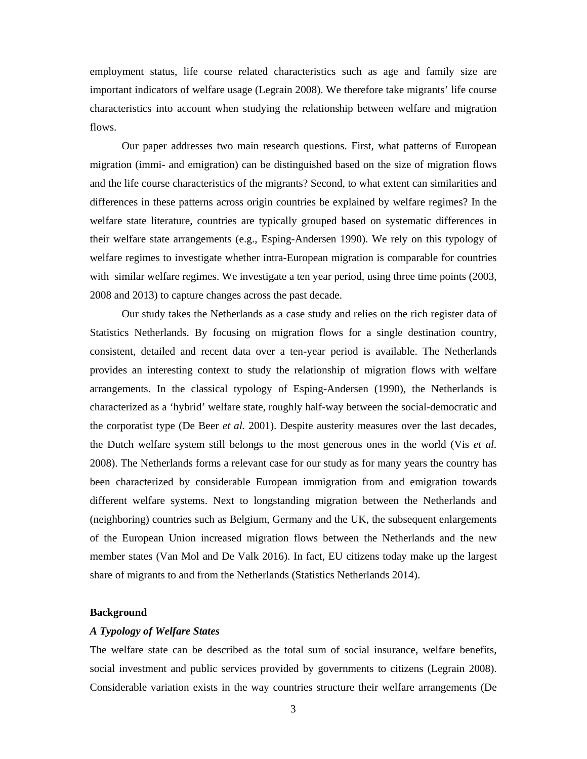employment status, life course related characteristics such as age and family size are important indicators of welfare usage (Legrain 2008). We therefore take migrants' life course characteristics into account when studying the relationship between welfare and migration flows.

 Our paper addresses two main research questions. First, what patterns of European migration (immi- and emigration) can be distinguished based on the size of migration flows and the life course characteristics of the migrants? Second, to what extent can similarities and differences in these patterns across origin countries be explained by welfare regimes? In the welfare state literature, countries are typically grouped based on systematic differences in their welfare state arrangements (e.g., Esping-Andersen 1990). We rely on this typology of welfare regimes to investigate whether intra-European migration is comparable for countries with similar welfare regimes. We investigate a ten year period, using three time points (2003, 2008 and 2013) to capture changes across the past decade.

 Our study takes the Netherlands as a case study and relies on the rich register data of Statistics Netherlands. By focusing on migration flows for a single destination country, consistent, detailed and recent data over a ten-year period is available. The Netherlands provides an interesting context to study the relationship of migration flows with welfare arrangements. In the classical typology of Esping-Andersen (1990), the Netherlands is characterized as a 'hybrid' welfare state, roughly half-way between the social-democratic and the corporatist type (De Beer *et al.* 2001). Despite austerity measures over the last decades, the Dutch welfare system still belongs to the most generous ones in the world (Vis *et al.* 2008). The Netherlands forms a relevant case for our study as for many years the country has been characterized by considerable European immigration from and emigration towards different welfare systems. Next to longstanding migration between the Netherlands and (neighboring) countries such as Belgium, Germany and the UK, the subsequent enlargements of the European Union increased migration flows between the Netherlands and the new member states (Van Mol and De Valk 2016). In fact, EU citizens today make up the largest share of migrants to and from the Netherlands (Statistics Netherlands 2014).

### **Background**

## *A Typology of Welfare States*

The welfare state can be described as the total sum of social insurance, welfare benefits, social investment and public services provided by governments to citizens (Legrain 2008). Considerable variation exists in the way countries structure their welfare arrangements (De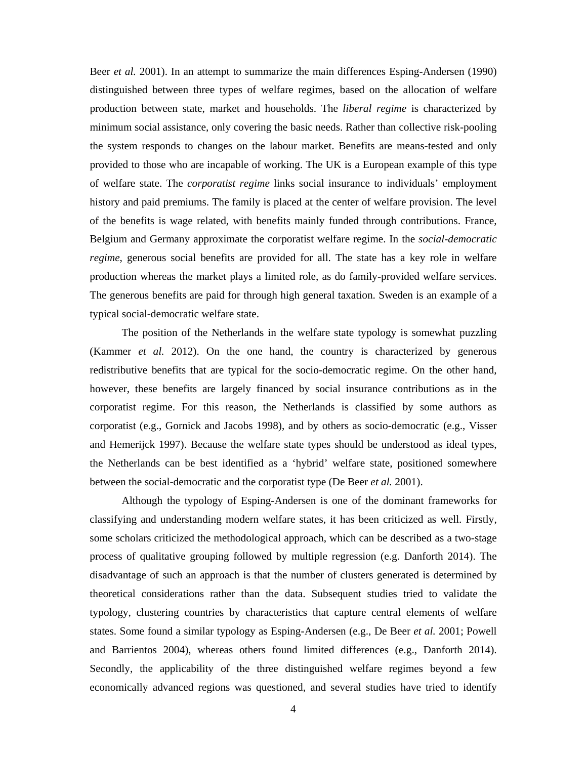Beer *et al.* 2001). In an attempt to summarize the main differences Esping-Andersen (1990) distinguished between three types of welfare regimes, based on the allocation of welfare production between state, market and households. The *liberal regime* is characterized by minimum social assistance, only covering the basic needs. Rather than collective risk-pooling the system responds to changes on the labour market. Benefits are means-tested and only provided to those who are incapable of working. The UK is a European example of this type of welfare state. The *corporatist regime* links social insurance to individuals' employment history and paid premiums. The family is placed at the center of welfare provision. The level of the benefits is wage related, with benefits mainly funded through contributions. France, Belgium and Germany approximate the corporatist welfare regime. In the *social-democratic regime*, generous social benefits are provided for all. The state has a key role in welfare production whereas the market plays a limited role, as do family-provided welfare services. The generous benefits are paid for through high general taxation. Sweden is an example of a typical social-democratic welfare state.

 The position of the Netherlands in the welfare state typology is somewhat puzzling (Kammer *et al.* 2012). On the one hand, the country is characterized by generous redistributive benefits that are typical for the socio-democratic regime. On the other hand, however, these benefits are largely financed by social insurance contributions as in the corporatist regime. For this reason, the Netherlands is classified by some authors as corporatist (e.g., Gornick and Jacobs 1998), and by others as socio-democratic (e.g., Visser and Hemerijck 1997). Because the welfare state types should be understood as ideal types, the Netherlands can be best identified as a 'hybrid' welfare state, positioned somewhere between the social-democratic and the corporatist type (De Beer *et al.* 2001).

 Although the typology of Esping-Andersen is one of the dominant frameworks for classifying and understanding modern welfare states, it has been criticized as well. Firstly, some scholars criticized the methodological approach, which can be described as a two-stage process of qualitative grouping followed by multiple regression (e.g. Danforth 2014). The disadvantage of such an approach is that the number of clusters generated is determined by theoretical considerations rather than the data. Subsequent studies tried to validate the typology, clustering countries by characteristics that capture central elements of welfare states. Some found a similar typology as Esping-Andersen (e.g., De Beer *et al.* 2001; Powell and Barrientos 2004), whereas others found limited differences (e.g., Danforth 2014). Secondly, the applicability of the three distinguished welfare regimes beyond a few economically advanced regions was questioned, and several studies have tried to identify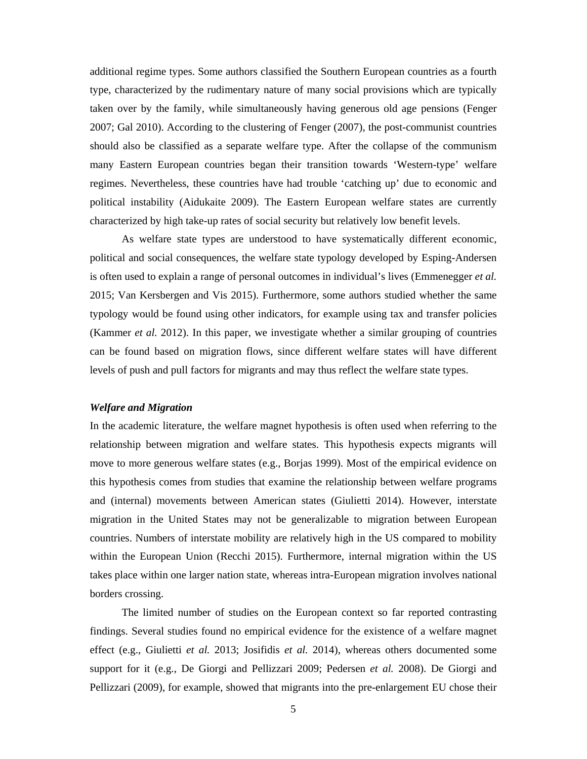additional regime types. Some authors classified the Southern European countries as a fourth type, characterized by the rudimentary nature of many social provisions which are typically taken over by the family, while simultaneously having generous old age pensions (Fenger 2007; Gal 2010). According to the clustering of Fenger (2007), the post-communist countries should also be classified as a separate welfare type. After the collapse of the communism many Eastern European countries began their transition towards 'Western-type' welfare regimes. Nevertheless, these countries have had trouble 'catching up' due to economic and political instability (Aidukaite 2009). The Eastern European welfare states are currently characterized by high take-up rates of social security but relatively low benefit levels.

 As welfare state types are understood to have systematically different economic, political and social consequences, the welfare state typology developed by Esping-Andersen is often used to explain a range of personal outcomes in individual's lives (Emmenegger *et al.* 2015; Van Kersbergen and Vis 2015). Furthermore, some authors studied whether the same typology would be found using other indicators, for example using tax and transfer policies (Kammer *et al.* 2012). In this paper, we investigate whether a similar grouping of countries can be found based on migration flows, since different welfare states will have different levels of push and pull factors for migrants and may thus reflect the welfare state types.

# *Welfare and Migration*

In the academic literature, the welfare magnet hypothesis is often used when referring to the relationship between migration and welfare states. This hypothesis expects migrants will move to more generous welfare states (e.g., Borjas 1999). Most of the empirical evidence on this hypothesis comes from studies that examine the relationship between welfare programs and (internal) movements between American states (Giulietti 2014). However, interstate migration in the United States may not be generalizable to migration between European countries. Numbers of interstate mobility are relatively high in the US compared to mobility within the European Union (Recchi 2015). Furthermore, internal migration within the US takes place within one larger nation state, whereas intra-European migration involves national borders crossing.

 The limited number of studies on the European context so far reported contrasting findings. Several studies found no empirical evidence for the existence of a welfare magnet effect (e.g., Giulietti *et al.* 2013; Josifidis *et al.* 2014), whereas others documented some support for it (e.g., De Giorgi and Pellizzari 2009; Pedersen *et al.* 2008). De Giorgi and Pellizzari (2009), for example, showed that migrants into the pre-enlargement EU chose their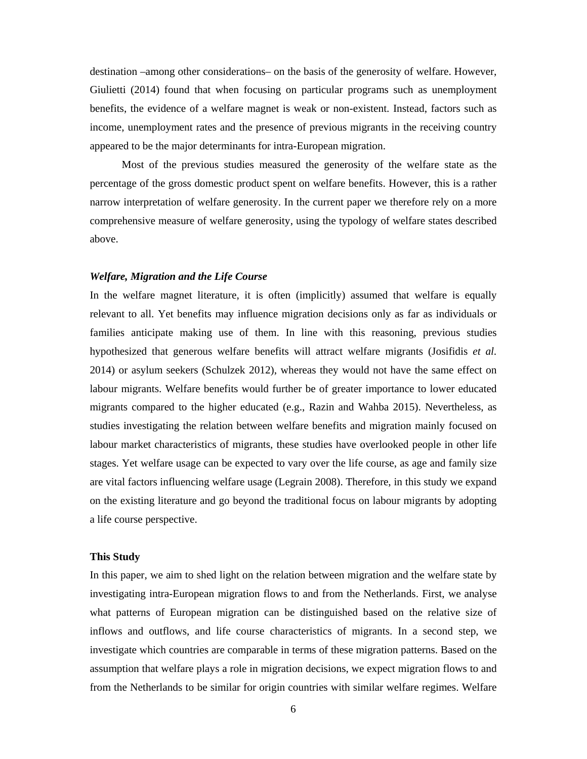destination –among other considerations– on the basis of the generosity of welfare. However, Giulietti (2014) found that when focusing on particular programs such as unemployment benefits, the evidence of a welfare magnet is weak or non-existent. Instead, factors such as income, unemployment rates and the presence of previous migrants in the receiving country appeared to be the major determinants for intra-European migration.

 Most of the previous studies measured the generosity of the welfare state as the percentage of the gross domestic product spent on welfare benefits. However, this is a rather narrow interpretation of welfare generosity. In the current paper we therefore rely on a more comprehensive measure of welfare generosity, using the typology of welfare states described above.

### *Welfare, Migration and the Life Course*

In the welfare magnet literature, it is often (implicitly) assumed that welfare is equally relevant to all. Yet benefits may influence migration decisions only as far as individuals or families anticipate making use of them. In line with this reasoning, previous studies hypothesized that generous welfare benefits will attract welfare migrants (Josifidis *et al.* 2014) or asylum seekers (Schulzek 2012), whereas they would not have the same effect on labour migrants. Welfare benefits would further be of greater importance to lower educated migrants compared to the higher educated (e.g., Razin and Wahba 2015). Nevertheless, as studies investigating the relation between welfare benefits and migration mainly focused on labour market characteristics of migrants, these studies have overlooked people in other life stages. Yet welfare usage can be expected to vary over the life course, as age and family size are vital factors influencing welfare usage (Legrain 2008). Therefore, in this study we expand on the existing literature and go beyond the traditional focus on labour migrants by adopting a life course perspective.

### **This Study**

In this paper, we aim to shed light on the relation between migration and the welfare state by investigating intra-European migration flows to and from the Netherlands. First, we analyse what patterns of European migration can be distinguished based on the relative size of inflows and outflows, and life course characteristics of migrants. In a second step, we investigate which countries are comparable in terms of these migration patterns. Based on the assumption that welfare plays a role in migration decisions, we expect migration flows to and from the Netherlands to be similar for origin countries with similar welfare regimes. Welfare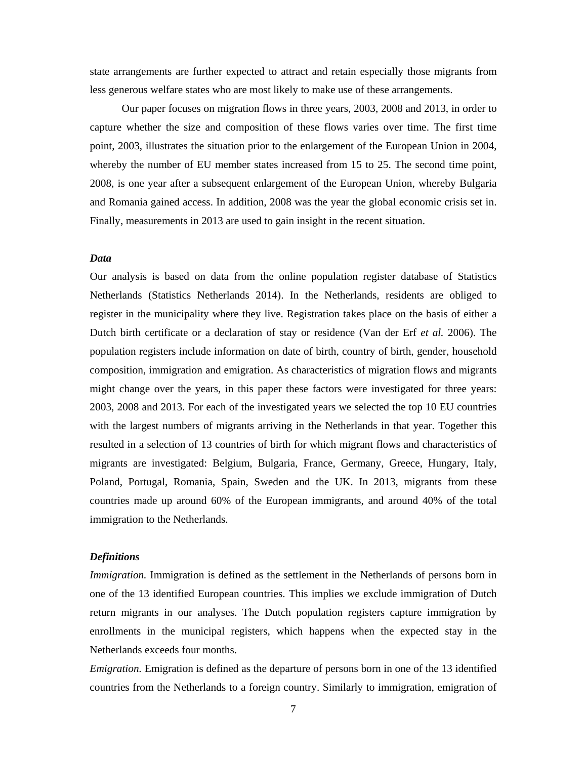state arrangements are further expected to attract and retain especially those migrants from less generous welfare states who are most likely to make use of these arrangements.

 Our paper focuses on migration flows in three years, 2003, 2008 and 2013, in order to capture whether the size and composition of these flows varies over time. The first time point, 2003, illustrates the situation prior to the enlargement of the European Union in 2004, whereby the number of EU member states increased from 15 to 25. The second time point, 2008, is one year after a subsequent enlargement of the European Union, whereby Bulgaria and Romania gained access. In addition, 2008 was the year the global economic crisis set in. Finally, measurements in 2013 are used to gain insight in the recent situation.

## *Data*

Our analysis is based on data from the online population register database of Statistics Netherlands (Statistics Netherlands 2014). In the Netherlands, residents are obliged to register in the municipality where they live. Registration takes place on the basis of either a Dutch birth certificate or a declaration of stay or residence (Van der Erf *et al.* 2006). The population registers include information on date of birth, country of birth, gender, household composition, immigration and emigration. As characteristics of migration flows and migrants might change over the years, in this paper these factors were investigated for three years: 2003, 2008 and 2013. For each of the investigated years we selected the top 10 EU countries with the largest numbers of migrants arriving in the Netherlands in that year. Together this resulted in a selection of 13 countries of birth for which migrant flows and characteristics of migrants are investigated: Belgium, Bulgaria, France, Germany, Greece, Hungary, Italy, Poland, Portugal, Romania, Spain, Sweden and the UK. In 2013, migrants from these countries made up around 60% of the European immigrants, and around 40% of the total immigration to the Netherlands.

### *Definitions*

*Immigration.* Immigration is defined as the settlement in the Netherlands of persons born in one of the 13 identified European countries. This implies we exclude immigration of Dutch return migrants in our analyses. The Dutch population registers capture immigration by enrollments in the municipal registers, which happens when the expected stay in the Netherlands exceeds four months.

*Emigration.* Emigration is defined as the departure of persons born in one of the 13 identified countries from the Netherlands to a foreign country. Similarly to immigration, emigration of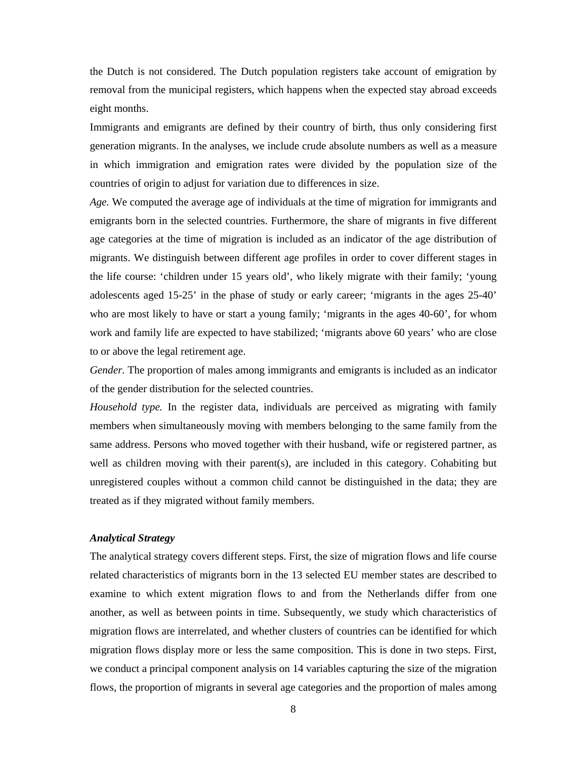the Dutch is not considered. The Dutch population registers take account of emigration by removal from the municipal registers, which happens when the expected stay abroad exceeds eight months.

Immigrants and emigrants are defined by their country of birth, thus only considering first generation migrants. In the analyses, we include crude absolute numbers as well as a measure in which immigration and emigration rates were divided by the population size of the countries of origin to adjust for variation due to differences in size.

*Age.* We computed the average age of individuals at the time of migration for immigrants and emigrants born in the selected countries. Furthermore, the share of migrants in five different age categories at the time of migration is included as an indicator of the age distribution of migrants. We distinguish between different age profiles in order to cover different stages in the life course: 'children under 15 years old', who likely migrate with their family; 'young adolescents aged 15-25' in the phase of study or early career; 'migrants in the ages 25-40' who are most likely to have or start a young family; 'migrants in the ages 40-60', for whom work and family life are expected to have stabilized; 'migrants above 60 years' who are close to or above the legal retirement age.

*Gender.* The proportion of males among immigrants and emigrants is included as an indicator of the gender distribution for the selected countries.

*Household type.* In the register data, individuals are perceived as migrating with family members when simultaneously moving with members belonging to the same family from the same address. Persons who moved together with their husband, wife or registered partner, as well as children moving with their parent(s), are included in this category. Cohabiting but unregistered couples without a common child cannot be distinguished in the data; they are treated as if they migrated without family members.

# *Analytical Strategy*

The analytical strategy covers different steps. First, the size of migration flows and life course related characteristics of migrants born in the 13 selected EU member states are described to examine to which extent migration flows to and from the Netherlands differ from one another, as well as between points in time. Subsequently, we study which characteristics of migration flows are interrelated, and whether clusters of countries can be identified for which migration flows display more or less the same composition. This is done in two steps. First, we conduct a principal component analysis on 14 variables capturing the size of the migration flows, the proportion of migrants in several age categories and the proportion of males among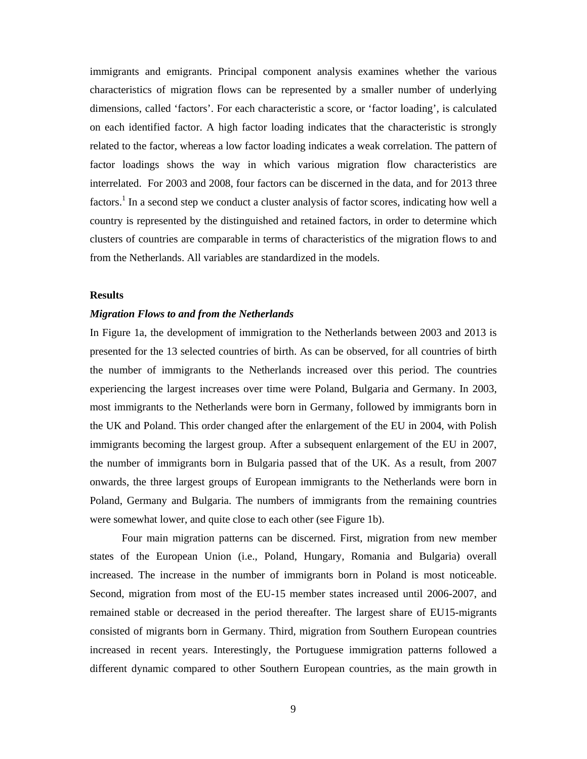immigrants and emigrants. Principal component analysis examines whether the various characteristics of migration flows can be represented by a smaller number of underlying dimensions, called 'factors'. For each characteristic a score, or 'factor loading', is calculated on each identified factor. A high factor loading indicates that the characteristic is strongly related to the factor, whereas a low factor loading indicates a weak correlation. The pattern of factor loadings shows the way in which various migration flow characteristics are interrelated. For 2003 and 2008, four factors can be discerned in the data, and for 2013 three factors.<sup>1</sup> In a second step we conduct a cluster analysis of factor scores, indicating how well a country is represented by the distinguished and retained factors, in order to determine which clusters of countries are comparable in terms of characteristics of the migration flows to and from the Netherlands. All variables are standardized in the models.

# **Results**

# *Migration Flows to and from the Netherlands*

In Figure 1a, the development of immigration to the Netherlands between 2003 and 2013 is presented for the 13 selected countries of birth. As can be observed, for all countries of birth the number of immigrants to the Netherlands increased over this period. The countries experiencing the largest increases over time were Poland, Bulgaria and Germany. In 2003, most immigrants to the Netherlands were born in Germany, followed by immigrants born in the UK and Poland. This order changed after the enlargement of the EU in 2004, with Polish immigrants becoming the largest group. After a subsequent enlargement of the EU in 2007, the number of immigrants born in Bulgaria passed that of the UK. As a result, from 2007 onwards, the three largest groups of European immigrants to the Netherlands were born in Poland, Germany and Bulgaria. The numbers of immigrants from the remaining countries were somewhat lower, and quite close to each other (see Figure 1b).

 Four main migration patterns can be discerned. First, migration from new member states of the European Union (i.e., Poland, Hungary, Romania and Bulgaria) overall increased. The increase in the number of immigrants born in Poland is most noticeable. Second, migration from most of the EU-15 member states increased until 2006-2007, and remained stable or decreased in the period thereafter. The largest share of EU15-migrants consisted of migrants born in Germany. Third, migration from Southern European countries increased in recent years. Interestingly, the Portuguese immigration patterns followed a different dynamic compared to other Southern European countries, as the main growth in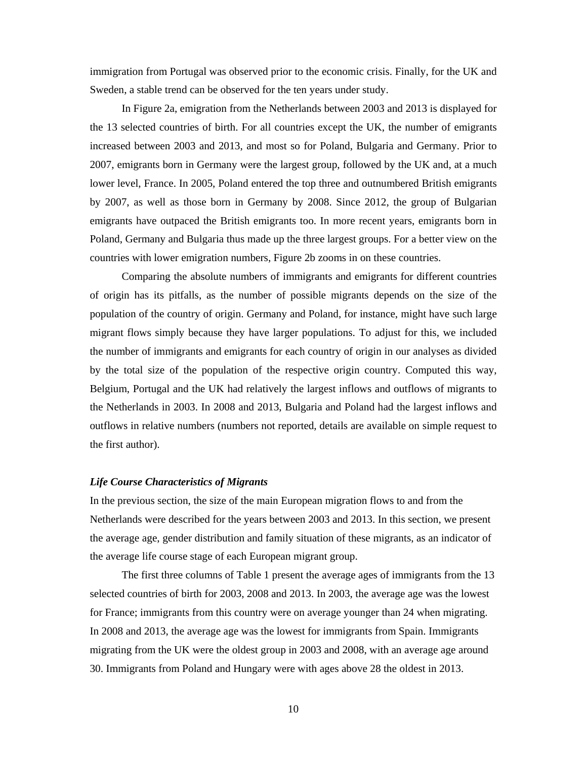immigration from Portugal was observed prior to the economic crisis. Finally, for the UK and Sweden, a stable trend can be observed for the ten years under study.

 In Figure 2a, emigration from the Netherlands between 2003 and 2013 is displayed for the 13 selected countries of birth. For all countries except the UK, the number of emigrants increased between 2003 and 2013, and most so for Poland, Bulgaria and Germany. Prior to 2007, emigrants born in Germany were the largest group, followed by the UK and, at a much lower level, France. In 2005, Poland entered the top three and outnumbered British emigrants by 2007, as well as those born in Germany by 2008. Since 2012, the group of Bulgarian emigrants have outpaced the British emigrants too. In more recent years, emigrants born in Poland, Germany and Bulgaria thus made up the three largest groups. For a better view on the countries with lower emigration numbers, Figure 2b zooms in on these countries.

 Comparing the absolute numbers of immigrants and emigrants for different countries of origin has its pitfalls, as the number of possible migrants depends on the size of the population of the country of origin. Germany and Poland, for instance, might have such large migrant flows simply because they have larger populations. To adjust for this, we included the number of immigrants and emigrants for each country of origin in our analyses as divided by the total size of the population of the respective origin country. Computed this way, Belgium, Portugal and the UK had relatively the largest inflows and outflows of migrants to the Netherlands in 2003. In 2008 and 2013, Bulgaria and Poland had the largest inflows and outflows in relative numbers (numbers not reported, details are available on simple request to the first author).

### *Life Course Characteristics of Migrants*

In the previous section, the size of the main European migration flows to and from the Netherlands were described for the years between 2003 and 2013. In this section, we present the average age, gender distribution and family situation of these migrants, as an indicator of the average life course stage of each European migrant group.

 The first three columns of Table 1 present the average ages of immigrants from the 13 selected countries of birth for 2003, 2008 and 2013. In 2003, the average age was the lowest for France; immigrants from this country were on average younger than 24 when migrating. In 2008 and 2013, the average age was the lowest for immigrants from Spain. Immigrants migrating from the UK were the oldest group in 2003 and 2008, with an average age around 30. Immigrants from Poland and Hungary were with ages above 28 the oldest in 2013.

10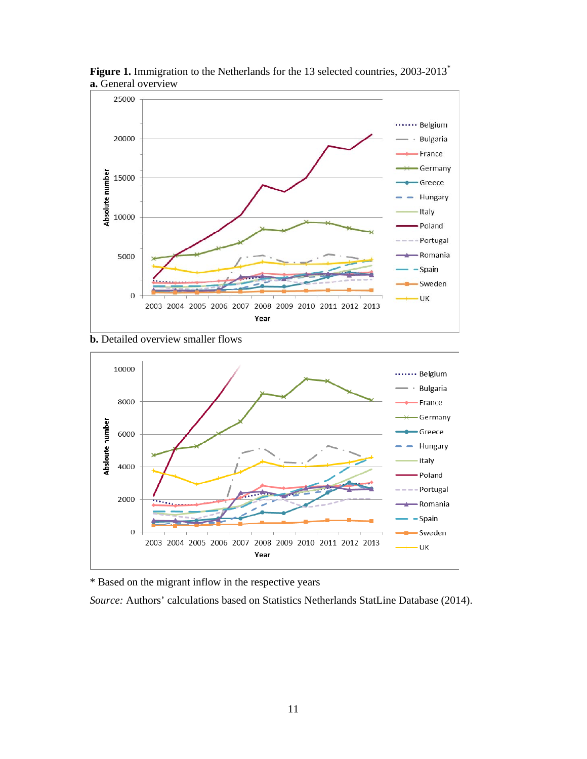

Figure 1. Immigration to the Netherlands for the 13 selected countries, 2003-2013<sup>\*</sup> **a.** General overview





\* Based on the migrant inflow in the respective years

*Source:* Authors' calculations based on Statistics Netherlands StatLine Database (2014).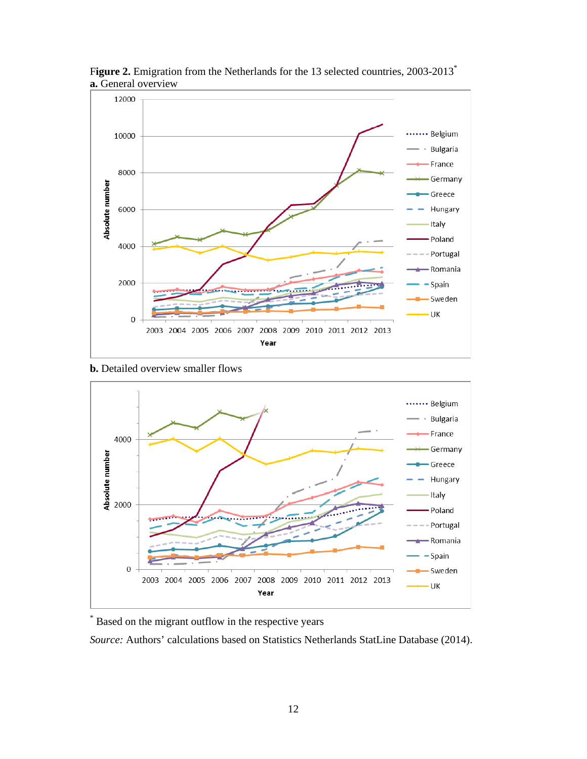

Figure 2. Emigration from the Netherlands for the 13 selected countries, 2003-2013<sup>\*</sup> **a.** General overview

**b.** Detailed overview smaller flows



\* Based on the migrant outflow in the respective years

*Source:* Authors' calculations based on Statistics Netherlands StatLine Database (2014).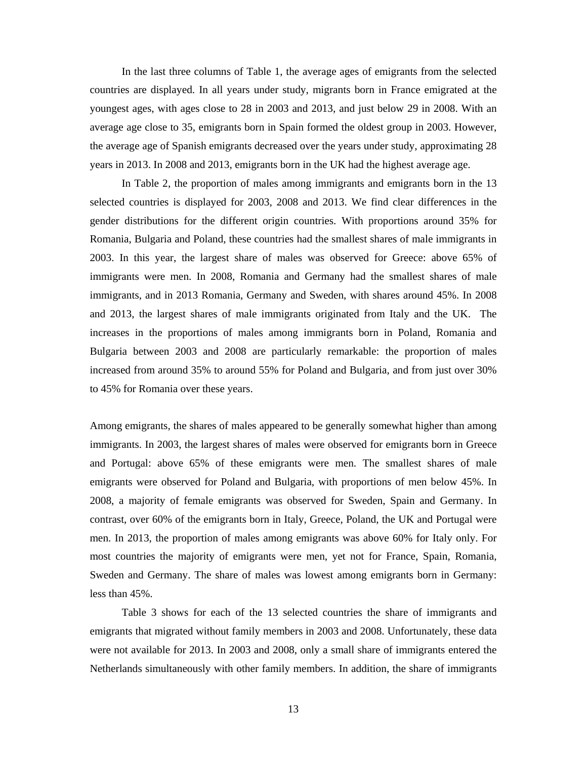In the last three columns of Table 1, the average ages of emigrants from the selected countries are displayed. In all years under study, migrants born in France emigrated at the youngest ages, with ages close to 28 in 2003 and 2013, and just below 29 in 2008. With an average age close to 35, emigrants born in Spain formed the oldest group in 2003. However, the average age of Spanish emigrants decreased over the years under study, approximating 28 years in 2013. In 2008 and 2013, emigrants born in the UK had the highest average age.

 In Table 2, the proportion of males among immigrants and emigrants born in the 13 selected countries is displayed for 2003, 2008 and 2013. We find clear differences in the gender distributions for the different origin countries. With proportions around 35% for Romania, Bulgaria and Poland, these countries had the smallest shares of male immigrants in 2003. In this year, the largest share of males was observed for Greece: above 65% of immigrants were men. In 2008, Romania and Germany had the smallest shares of male immigrants, and in 2013 Romania, Germany and Sweden, with shares around 45%. In 2008 and 2013, the largest shares of male immigrants originated from Italy and the UK. The increases in the proportions of males among immigrants born in Poland, Romania and Bulgaria between 2003 and 2008 are particularly remarkable: the proportion of males increased from around 35% to around 55% for Poland and Bulgaria, and from just over 30% to 45% for Romania over these years.

Among emigrants, the shares of males appeared to be generally somewhat higher than among immigrants. In 2003, the largest shares of males were observed for emigrants born in Greece and Portugal: above 65% of these emigrants were men. The smallest shares of male emigrants were observed for Poland and Bulgaria, with proportions of men below 45%. In 2008, a majority of female emigrants was observed for Sweden, Spain and Germany. In contrast, over 60% of the emigrants born in Italy, Greece, Poland, the UK and Portugal were men. In 2013, the proportion of males among emigrants was above 60% for Italy only. For most countries the majority of emigrants were men, yet not for France, Spain, Romania, Sweden and Germany. The share of males was lowest among emigrants born in Germany: less than 45%.

 Table 3 shows for each of the 13 selected countries the share of immigrants and emigrants that migrated without family members in 2003 and 2008. Unfortunately, these data were not available for 2013. In 2003 and 2008, only a small share of immigrants entered the Netherlands simultaneously with other family members. In addition, the share of immigrants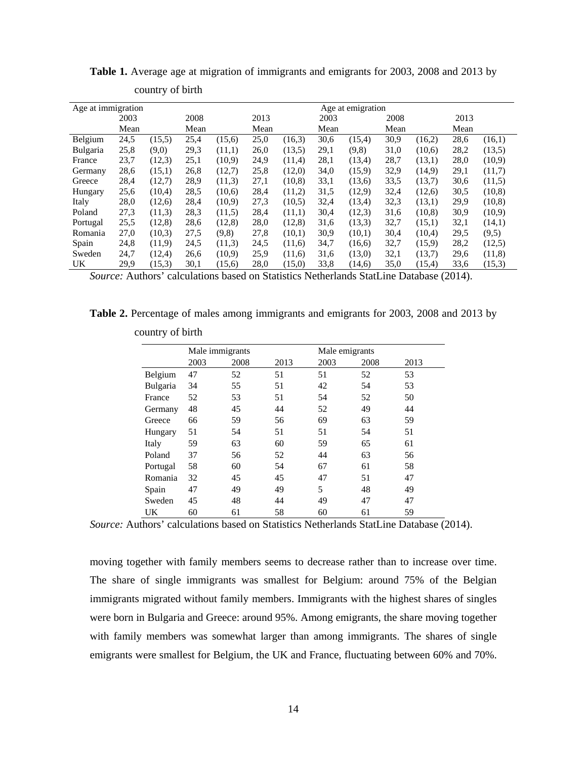| Age at immigration |      |        |      |        | Age at emigration |        |      |        |      |        |      |         |
|--------------------|------|--------|------|--------|-------------------|--------|------|--------|------|--------|------|---------|
|                    | 2003 |        | 2008 |        | 2013              |        | 2003 |        | 2008 |        | 2013 |         |
|                    | Mean |        | Mean |        | Mean              |        | Mean |        | Mean |        | Mean |         |
| Belgium            | 24,5 | (15,5) | 25,4 | (15,6) | 25,0              | (16.3) | 30,6 | (15,4) | 30,9 | (16,2) | 28,6 | (16,1)  |
| <b>Bulgaria</b>    | 25,8 | (9,0)  | 29,3 | (11,1) | 26,0              | (13,5) | 29,1 | (9,8)  | 31,0 | (10.6) | 28,2 | (13,5)  |
| France             | 23,7 | (12,3) | 25,1 | (10,9) | 24,9              | (11.4) | 28,1 | (13,4) | 28,7 | (13,1) | 28,0 | (10,9)  |
| Germany            | 28,6 | (15,1) | 26,8 | (12,7) | 25,8              | (12,0) | 34,0 | (15,9) | 32,9 | (14,9) | 29,1 | (11,7)  |
| Greece             | 28,4 | (12,7) | 28,9 | (11,3) | 27,1              | (10.8) | 33,1 | (13,6) | 33,5 | (13,7) | 30,6 | (11,5)  |
| Hungary            | 25,6 | (10,4) | 28,5 | (10,6) | 28,4              | (11,2) | 31,5 | (12,9) | 32,4 | (12,6) | 30,5 | (10, 8) |
| Italy              | 28,0 | (12,6) | 28,4 | (10,9) | 27,3              | (10,5) | 32,4 | (13,4) | 32,3 | (13,1) | 29,9 | (10, 8) |
| Poland             | 27,3 | (11,3) | 28.3 | (11,5) | 28,4              | (11,1) | 30,4 | (12,3) | 31,6 | (10.8) | 30,9 | (10,9)  |
| Portugal           | 25,5 | (12,8) | 28,6 | (12.8) | 28,0              | (12,8) | 31,6 | (13,3) | 32,7 | (15,1) | 32,1 | (14,1)  |
| Romania            | 27,0 | (10,3) | 27,5 | (9,8)  | 27,8              | (10,1) | 30,9 | (10,1) | 30,4 | (10,4) | 29,5 | (9,5)   |
| Spain              | 24,8 | (11,9) | 24,5 | (11,3) | 24,5              | (11,6) | 34,7 | (16,6) | 32,7 | (15,9) | 28,2 | (12,5)  |
| Sweden             | 24,7 | (12,4) | 26,6 | (10,9) | 25,9              | (11.6) | 31,6 | (13,0) | 32,1 | (13,7) | 29,6 | (11,8)  |
| UK                 | 29,9 | (15,3) | 30,1 | (15,6) | 28,0              | (15,0) | 33,8 | (14,6) | 35,0 | (15,4) | 33,6 | (15,3)  |

**Table 1.** Average age at migration of immigrants and emigrants for 2003, 2008 and 2013 by

*Source:* Authors' calculations based on Statistics Netherlands StatLine Database (2014).

**Table 2.** Percentage of males among immigrants and emigrants for 2003, 2008 and 2013 by

|          |      | Male immigrants |      |      | Male emigrants |      |  |  |  |
|----------|------|-----------------|------|------|----------------|------|--|--|--|
|          | 2003 | 2008            | 2013 | 2003 | 2008           | 2013 |  |  |  |
| Belgium  | 47   | 52              | 51   | 51   | 52             | 53   |  |  |  |
| Bulgaria | 34   | 55              | 51   | 42   | 54             | 53   |  |  |  |
| France   | 52   | 53              | 51   | 54   | 52             | 50   |  |  |  |
| Germany  | 48   | 45              | 44   | 52   | 49             | 44   |  |  |  |
| Greece   | 66   | 59              | 56   | 69   | 63             | 59   |  |  |  |
| Hungary  | 51   | 54              | 51   | 51   | 54             | 51   |  |  |  |
| Italy    | 59   | 63              | 60   | 59   | 65             | 61   |  |  |  |
| Poland   | 37   | 56              | 52   | 44   | 63             | 56   |  |  |  |
| Portugal | 58   | 60              | 54   | 67   | 61             | 58   |  |  |  |
| Romania  | 32   | 45              | 45   | 47   | 51             | 47   |  |  |  |
| Spain    | 47   | 49              | 49   | 5    | 48             | 49   |  |  |  |
| Sweden   | 45   | 48              | 44   | 49   | 47             | 47   |  |  |  |
| UK       | 60   | 61              | 58   | 60   | 61             | 59   |  |  |  |

country of birth

country of birth

*Source:* Authors' calculations based on Statistics Netherlands StatLine Database (2014).

moving together with family members seems to decrease rather than to increase over time. The share of single immigrants was smallest for Belgium: around 75% of the Belgian immigrants migrated without family members. Immigrants with the highest shares of singles were born in Bulgaria and Greece: around 95%. Among emigrants, the share moving together with family members was somewhat larger than among immigrants. The shares of single emigrants were smallest for Belgium, the UK and France, fluctuating between 60% and 70%.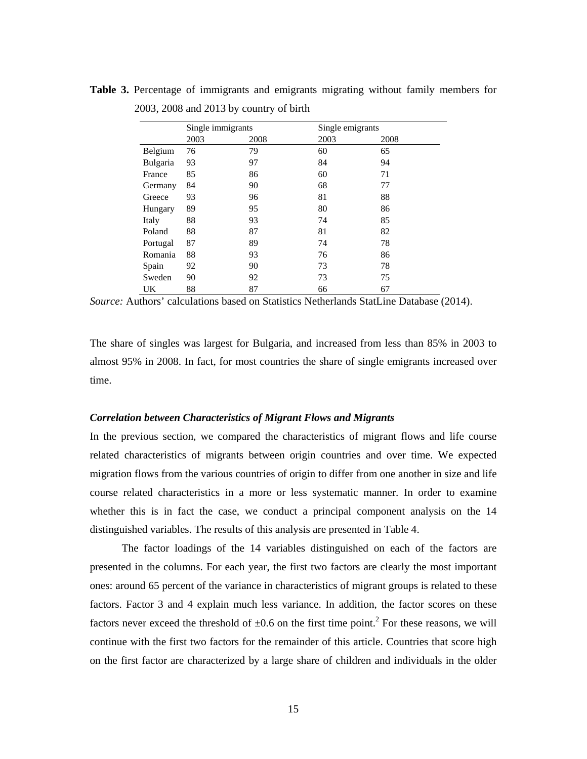|          | Single immigrants |      | Single emigrants |      |  |
|----------|-------------------|------|------------------|------|--|
|          | 2003              | 2008 | 2003             | 2008 |  |
| Belgium  | 76                | 79   | 60               | 65   |  |
| Bulgaria | 93                | 97   | 84               | 94   |  |
| France   | 85                | 86   | 60               | 71   |  |
| Germany  | 84                | 90   | 68               | 77   |  |
| Greece   | 93                | 96   | 81               | 88   |  |
| Hungary  | 89                | 95   | 80               | 86   |  |
| Italy    | 88                | 93   | 74               | 85   |  |
| Poland   | 88                | 87   | 81               | 82   |  |
| Portugal | 87                | 89   | 74               | 78   |  |
| Romania  | 88                | 93   | 76               | 86   |  |
| Spain    | 92                | 90   | 73               | 78   |  |
| Sweden   | 90                | 92   | 73               | 75   |  |
| UK       | 88                | 87   | 66               | 67   |  |

**Table 3.** Percentage of immigrants and emigrants migrating without family members for 2003, 2008 and 2013 by country of birth

The share of singles was largest for Bulgaria, and increased from less than 85% in 2003 to almost 95% in 2008. In fact, for most countries the share of single emigrants increased over time.

### *Correlation between Characteristics of Migrant Flows and Migrants*

In the previous section, we compared the characteristics of migrant flows and life course related characteristics of migrants between origin countries and over time. We expected migration flows from the various countries of origin to differ from one another in size and life course related characteristics in a more or less systematic manner. In order to examine whether this is in fact the case, we conduct a principal component analysis on the 14 distinguished variables. The results of this analysis are presented in Table 4.

 The factor loadings of the 14 variables distinguished on each of the factors are presented in the columns. For each year, the first two factors are clearly the most important ones: around 65 percent of the variance in characteristics of migrant groups is related to these factors. Factor 3 and 4 explain much less variance. In addition, the factor scores on these factors never exceed the threshold of  $\pm 0.6$  on the first time point.<sup>2</sup> For these reasons, we will continue with the first two factors for the remainder of this article. Countries that score high on the first factor are characterized by a large share of children and individuals in the older

*Source:* Authors' calculations based on Statistics Netherlands StatLine Database (2014).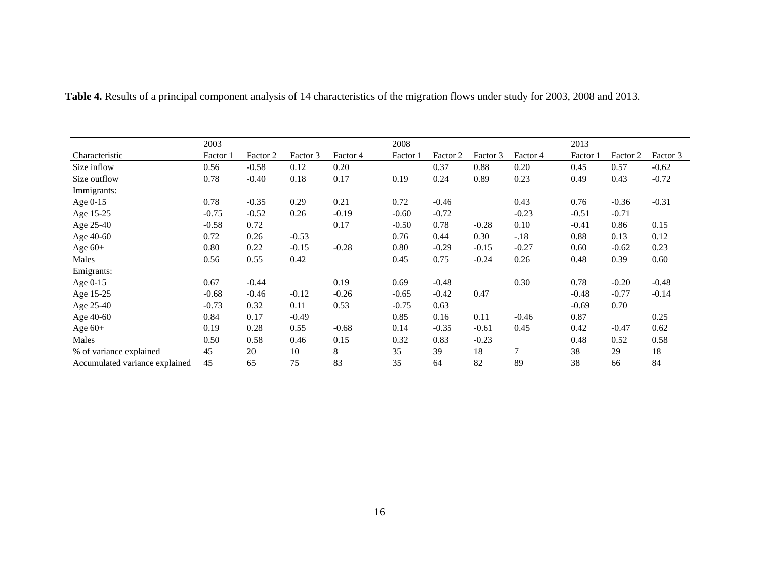|                                | 2003     |          |          |          | 2008     |          |          |          | 2013     |          |          |
|--------------------------------|----------|----------|----------|----------|----------|----------|----------|----------|----------|----------|----------|
| Characteristic                 | Factor 1 | Factor 2 | Factor 3 | Factor 4 | Factor 1 | Factor 2 | Factor 3 | Factor 4 | Factor 1 | Factor 2 | Factor 3 |
| Size inflow                    | 0.56     | $-0.58$  | 0.12     | 0.20     |          | 0.37     | 0.88     | 0.20     | 0.45     | 0.57     | $-0.62$  |
| Size outflow                   | 0.78     | $-0.40$  | 0.18     | 0.17     | 0.19     | 0.24     | 0.89     | 0.23     | 0.49     | 0.43     | $-0.72$  |
| Immigrants:                    |          |          |          |          |          |          |          |          |          |          |          |
| Age $0-15$                     | 0.78     | $-0.35$  | 0.29     | 0.21     | 0.72     | $-0.46$  |          | 0.43     | 0.76     | $-0.36$  | $-0.31$  |
| Age 15-25                      | $-0.75$  | $-0.52$  | 0.26     | $-0.19$  | $-0.60$  | $-0.72$  |          | $-0.23$  | $-0.51$  | $-0.71$  |          |
| Age 25-40                      | $-0.58$  | 0.72     |          | 0.17     | $-0.50$  | 0.78     | $-0.28$  | 0.10     | $-0.41$  | 0.86     | 0.15     |
| Age 40-60                      | 0.72     | 0.26     | $-0.53$  |          | 0.76     | 0.44     | 0.30     | $-.18$   | 0.88     | 0.13     | 0.12     |
| Age $60+$                      | 0.80     | 0.22     | $-0.15$  | $-0.28$  | 0.80     | $-0.29$  | $-0.15$  | $-0.27$  | 0.60     | $-0.62$  | 0.23     |
| Males                          | 0.56     | 0.55     | 0.42     |          | 0.45     | 0.75     | $-0.24$  | 0.26     | 0.48     | 0.39     | 0.60     |
| Emigrants:                     |          |          |          |          |          |          |          |          |          |          |          |
| Age 0-15                       | 0.67     | $-0.44$  |          | 0.19     | 0.69     | $-0.48$  |          | 0.30     | 0.78     | $-0.20$  | $-0.48$  |
| Age 15-25                      | $-0.68$  | $-0.46$  | $-0.12$  | $-0.26$  | $-0.65$  | $-0.42$  | 0.47     |          | $-0.48$  | $-0.77$  | $-0.14$  |
| Age 25-40                      | $-0.73$  | 0.32     | 0.11     | 0.53     | $-0.75$  | 0.63     |          |          | $-0.69$  | 0.70     |          |
| Age 40-60                      | 0.84     | 0.17     | $-0.49$  |          | 0.85     | 0.16     | 0.11     | $-0.46$  | 0.87     |          | 0.25     |
| Age $60+$                      | 0.19     | 0.28     | 0.55     | $-0.68$  | 0.14     | $-0.35$  | $-0.61$  | 0.45     | 0.42     | $-0.47$  | 0.62     |
| Males                          | 0.50     | 0.58     | 0.46     | 0.15     | 0.32     | 0.83     | $-0.23$  |          | 0.48     | 0.52     | 0.58     |
| % of variance explained        | 45       | 20       | 10       | 8        | 35       | 39       | 18       | 7        | 38       | 29       | 18       |
| Accumulated variance explained | 45       | 65       | 75       | 83       | 35       | 64       | 82       | 89       | 38       | 66       | 84       |

**Table 4.** Results of a principal component analysis of 14 characteristics of the migration flows under study for 2003, 2008 and 2013.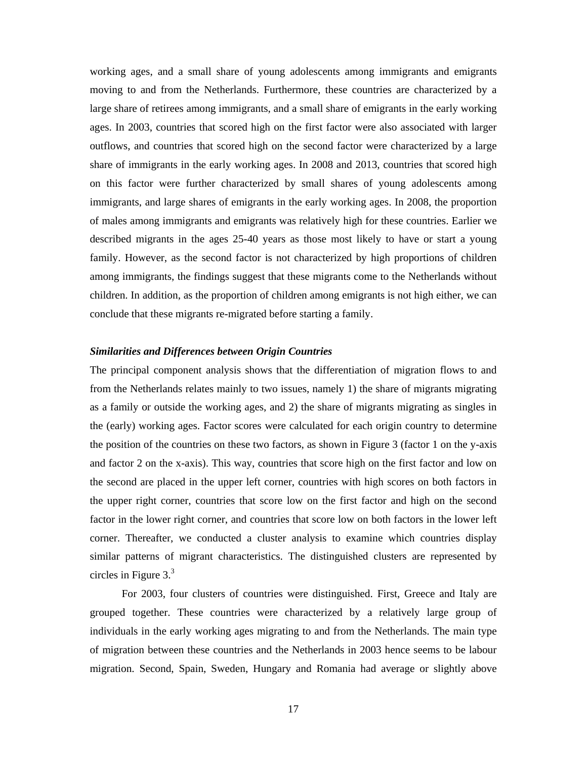working ages, and a small share of young adolescents among immigrants and emigrants moving to and from the Netherlands. Furthermore, these countries are characterized by a large share of retirees among immigrants, and a small share of emigrants in the early working ages. In 2003, countries that scored high on the first factor were also associated with larger outflows, and countries that scored high on the second factor were characterized by a large share of immigrants in the early working ages. In 2008 and 2013, countries that scored high on this factor were further characterized by small shares of young adolescents among immigrants, and large shares of emigrants in the early working ages. In 2008, the proportion of males among immigrants and emigrants was relatively high for these countries. Earlier we described migrants in the ages 25-40 years as those most likely to have or start a young family. However, as the second factor is not characterized by high proportions of children among immigrants, the findings suggest that these migrants come to the Netherlands without children. In addition, as the proportion of children among emigrants is not high either, we can conclude that these migrants re-migrated before starting a family.

#### *Similarities and Differences between Origin Countries*

The principal component analysis shows that the differentiation of migration flows to and from the Netherlands relates mainly to two issues, namely 1) the share of migrants migrating as a family or outside the working ages, and 2) the share of migrants migrating as singles in the (early) working ages. Factor scores were calculated for each origin country to determine the position of the countries on these two factors, as shown in Figure 3 (factor 1 on the y-axis and factor 2 on the x-axis). This way, countries that score high on the first factor and low on the second are placed in the upper left corner, countries with high scores on both factors in the upper right corner, countries that score low on the first factor and high on the second factor in the lower right corner, and countries that score low on both factors in the lower left corner. Thereafter, we conducted a cluster analysis to examine which countries display similar patterns of migrant characteristics. The distinguished clusters are represented by circles in Figure  $3<sup>3</sup>$ 

 For 2003, four clusters of countries were distinguished. First, Greece and Italy are grouped together. These countries were characterized by a relatively large group of individuals in the early working ages migrating to and from the Netherlands. The main type of migration between these countries and the Netherlands in 2003 hence seems to be labour migration. Second, Spain, Sweden, Hungary and Romania had average or slightly above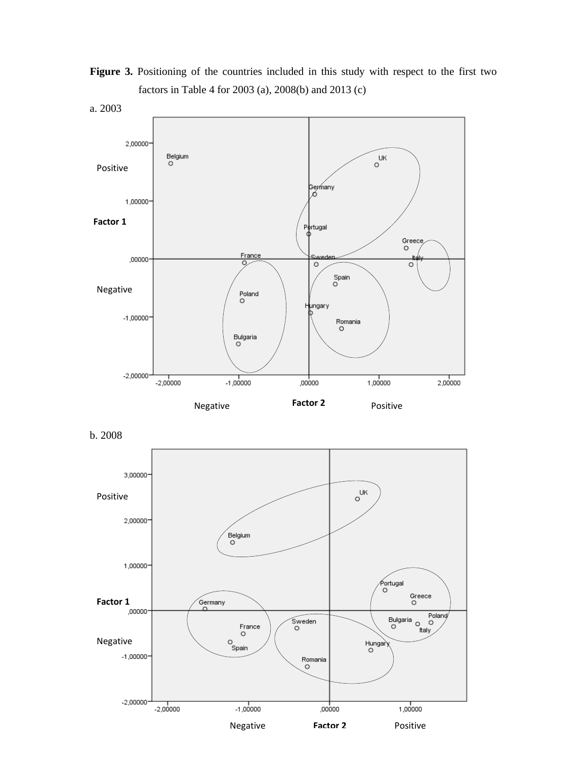Figure 3. Positioning of the countries included in this study with respect to the first two factors in Table 4 for 2003 (a), 2008(b) and 2013 (c)



b. 2008

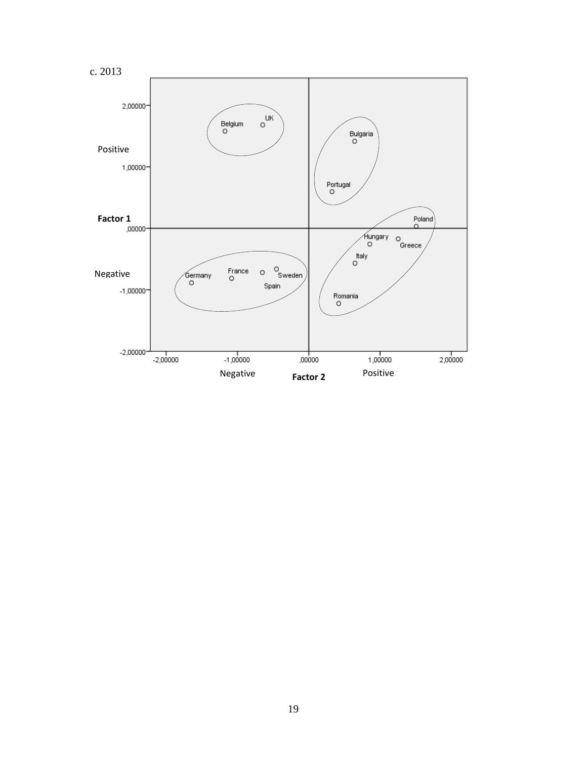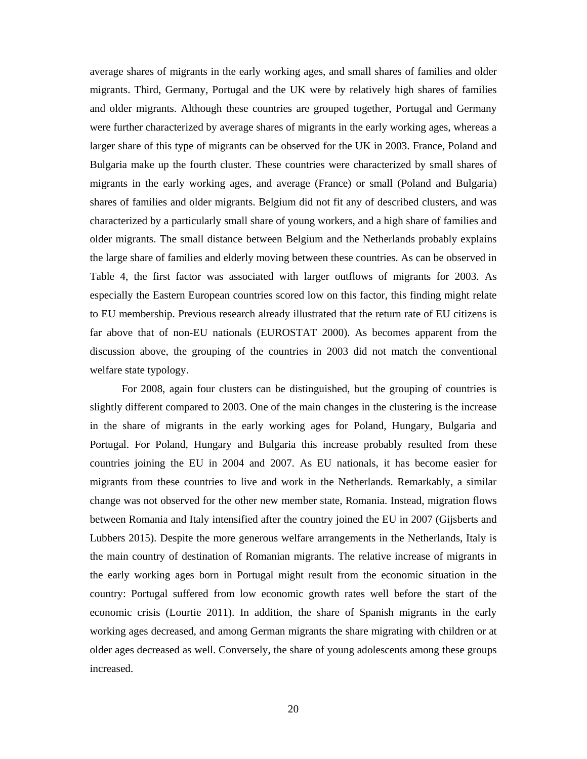average shares of migrants in the early working ages, and small shares of families and older migrants. Third, Germany, Portugal and the UK were by relatively high shares of families and older migrants. Although these countries are grouped together, Portugal and Germany were further characterized by average shares of migrants in the early working ages, whereas a larger share of this type of migrants can be observed for the UK in 2003. France, Poland and Bulgaria make up the fourth cluster. These countries were characterized by small shares of migrants in the early working ages, and average (France) or small (Poland and Bulgaria) shares of families and older migrants. Belgium did not fit any of described clusters, and was characterized by a particularly small share of young workers, and a high share of families and older migrants. The small distance between Belgium and the Netherlands probably explains the large share of families and elderly moving between these countries. As can be observed in Table 4, the first factor was associated with larger outflows of migrants for 2003. As especially the Eastern European countries scored low on this factor, this finding might relate to EU membership. Previous research already illustrated that the return rate of EU citizens is far above that of non-EU nationals (EUROSTAT 2000). As becomes apparent from the discussion above, the grouping of the countries in 2003 did not match the conventional welfare state typology.

 For 2008, again four clusters can be distinguished, but the grouping of countries is slightly different compared to 2003. One of the main changes in the clustering is the increase in the share of migrants in the early working ages for Poland, Hungary, Bulgaria and Portugal. For Poland, Hungary and Bulgaria this increase probably resulted from these countries joining the EU in 2004 and 2007. As EU nationals, it has become easier for migrants from these countries to live and work in the Netherlands. Remarkably, a similar change was not observed for the other new member state, Romania. Instead, migration flows between Romania and Italy intensified after the country joined the EU in 2007 (Gijsberts and Lubbers 2015). Despite the more generous welfare arrangements in the Netherlands, Italy is the main country of destination of Romanian migrants. The relative increase of migrants in the early working ages born in Portugal might result from the economic situation in the country: Portugal suffered from low economic growth rates well before the start of the economic crisis (Lourtie 2011). In addition, the share of Spanish migrants in the early working ages decreased, and among German migrants the share migrating with children or at older ages decreased as well. Conversely, the share of young adolescents among these groups increased.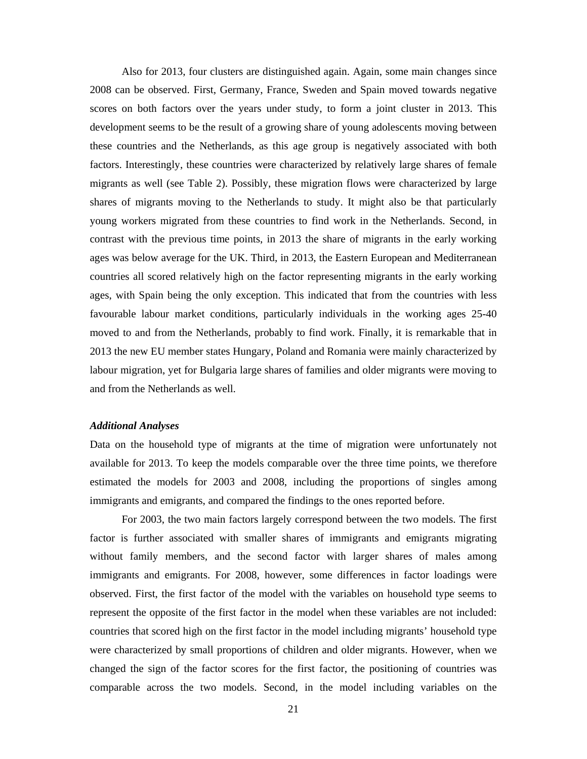Also for 2013, four clusters are distinguished again. Again, some main changes since 2008 can be observed. First, Germany, France, Sweden and Spain moved towards negative scores on both factors over the years under study, to form a joint cluster in 2013. This development seems to be the result of a growing share of young adolescents moving between these countries and the Netherlands, as this age group is negatively associated with both factors. Interestingly, these countries were characterized by relatively large shares of female migrants as well (see Table 2). Possibly, these migration flows were characterized by large shares of migrants moving to the Netherlands to study. It might also be that particularly young workers migrated from these countries to find work in the Netherlands. Second, in contrast with the previous time points, in 2013 the share of migrants in the early working ages was below average for the UK. Third, in 2013, the Eastern European and Mediterranean countries all scored relatively high on the factor representing migrants in the early working ages, with Spain being the only exception. This indicated that from the countries with less favourable labour market conditions, particularly individuals in the working ages 25-40 moved to and from the Netherlands, probably to find work. Finally, it is remarkable that in 2013 the new EU member states Hungary, Poland and Romania were mainly characterized by labour migration, yet for Bulgaria large shares of families and older migrants were moving to and from the Netherlands as well.

### *Additional Analyses*

Data on the household type of migrants at the time of migration were unfortunately not available for 2013. To keep the models comparable over the three time points, we therefore estimated the models for 2003 and 2008, including the proportions of singles among immigrants and emigrants, and compared the findings to the ones reported before.

 For 2003, the two main factors largely correspond between the two models. The first factor is further associated with smaller shares of immigrants and emigrants migrating without family members, and the second factor with larger shares of males among immigrants and emigrants. For 2008, however, some differences in factor loadings were observed. First, the first factor of the model with the variables on household type seems to represent the opposite of the first factor in the model when these variables are not included: countries that scored high on the first factor in the model including migrants' household type were characterized by small proportions of children and older migrants. However, when we changed the sign of the factor scores for the first factor, the positioning of countries was comparable across the two models. Second, in the model including variables on the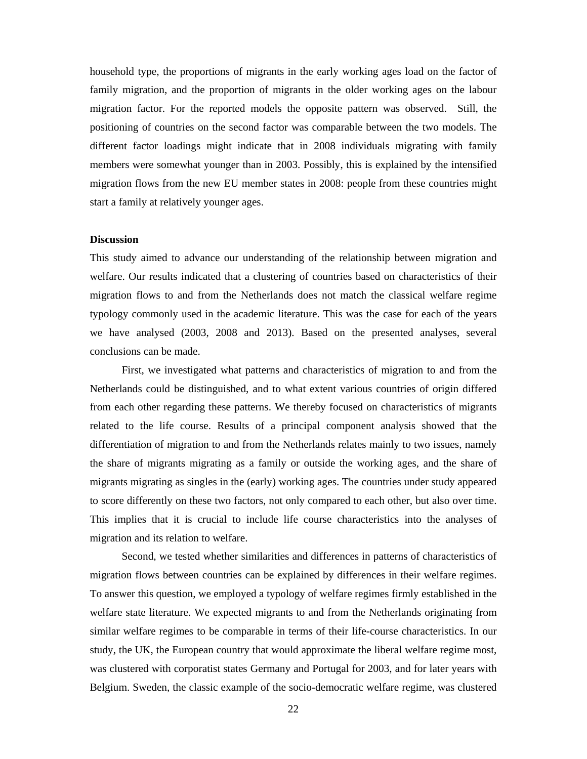household type, the proportions of migrants in the early working ages load on the factor of family migration, and the proportion of migrants in the older working ages on the labour migration factor. For the reported models the opposite pattern was observed. Still, the positioning of countries on the second factor was comparable between the two models. The different factor loadings might indicate that in 2008 individuals migrating with family members were somewhat younger than in 2003. Possibly, this is explained by the intensified migration flows from the new EU member states in 2008: people from these countries might start a family at relatively younger ages.

### **Discussion**

This study aimed to advance our understanding of the relationship between migration and welfare. Our results indicated that a clustering of countries based on characteristics of their migration flows to and from the Netherlands does not match the classical welfare regime typology commonly used in the academic literature. This was the case for each of the years we have analysed (2003, 2008 and 2013). Based on the presented analyses, several conclusions can be made.

 First, we investigated what patterns and characteristics of migration to and from the Netherlands could be distinguished, and to what extent various countries of origin differed from each other regarding these patterns. We thereby focused on characteristics of migrants related to the life course. Results of a principal component analysis showed that the differentiation of migration to and from the Netherlands relates mainly to two issues, namely the share of migrants migrating as a family or outside the working ages, and the share of migrants migrating as singles in the (early) working ages. The countries under study appeared to score differently on these two factors, not only compared to each other, but also over time. This implies that it is crucial to include life course characteristics into the analyses of migration and its relation to welfare.

 Second, we tested whether similarities and differences in patterns of characteristics of migration flows between countries can be explained by differences in their welfare regimes. To answer this question, we employed a typology of welfare regimes firmly established in the welfare state literature. We expected migrants to and from the Netherlands originating from similar welfare regimes to be comparable in terms of their life-course characteristics. In our study, the UK, the European country that would approximate the liberal welfare regime most, was clustered with corporatist states Germany and Portugal for 2003, and for later years with Belgium. Sweden, the classic example of the socio-democratic welfare regime, was clustered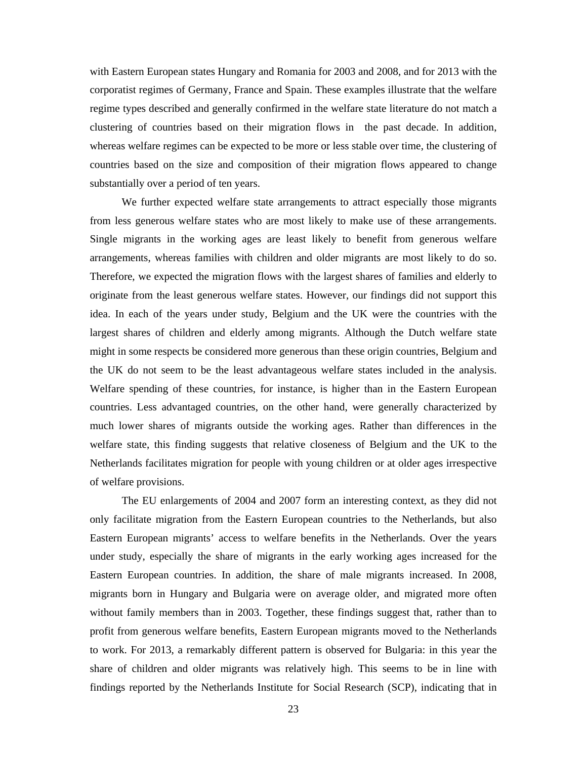with Eastern European states Hungary and Romania for 2003 and 2008, and for 2013 with the corporatist regimes of Germany, France and Spain. These examples illustrate that the welfare regime types described and generally confirmed in the welfare state literature do not match a clustering of countries based on their migration flows in the past decade. In addition, whereas welfare regimes can be expected to be more or less stable over time, the clustering of countries based on the size and composition of their migration flows appeared to change substantially over a period of ten years.

 We further expected welfare state arrangements to attract especially those migrants from less generous welfare states who are most likely to make use of these arrangements. Single migrants in the working ages are least likely to benefit from generous welfare arrangements, whereas families with children and older migrants are most likely to do so. Therefore, we expected the migration flows with the largest shares of families and elderly to originate from the least generous welfare states. However, our findings did not support this idea. In each of the years under study, Belgium and the UK were the countries with the largest shares of children and elderly among migrants. Although the Dutch welfare state might in some respects be considered more generous than these origin countries, Belgium and the UK do not seem to be the least advantageous welfare states included in the analysis. Welfare spending of these countries, for instance, is higher than in the Eastern European countries. Less advantaged countries, on the other hand, were generally characterized by much lower shares of migrants outside the working ages. Rather than differences in the welfare state, this finding suggests that relative closeness of Belgium and the UK to the Netherlands facilitates migration for people with young children or at older ages irrespective of welfare provisions.

 The EU enlargements of 2004 and 2007 form an interesting context, as they did not only facilitate migration from the Eastern European countries to the Netherlands, but also Eastern European migrants' access to welfare benefits in the Netherlands. Over the years under study, especially the share of migrants in the early working ages increased for the Eastern European countries. In addition, the share of male migrants increased. In 2008, migrants born in Hungary and Bulgaria were on average older, and migrated more often without family members than in 2003. Together, these findings suggest that, rather than to profit from generous welfare benefits, Eastern European migrants moved to the Netherlands to work. For 2013, a remarkably different pattern is observed for Bulgaria: in this year the share of children and older migrants was relatively high. This seems to be in line with findings reported by the Netherlands Institute for Social Research (SCP), indicating that in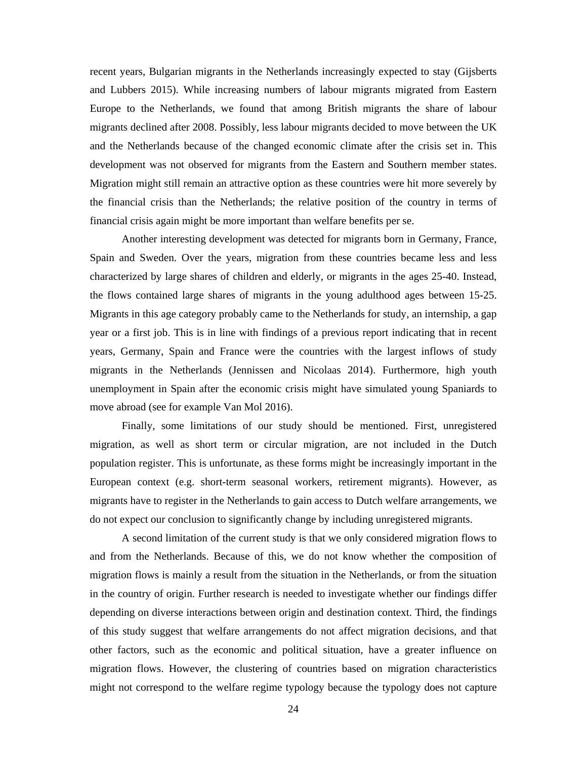recent years, Bulgarian migrants in the Netherlands increasingly expected to stay (Gijsberts and Lubbers 2015). While increasing numbers of labour migrants migrated from Eastern Europe to the Netherlands, we found that among British migrants the share of labour migrants declined after 2008. Possibly, less labour migrants decided to move between the UK and the Netherlands because of the changed economic climate after the crisis set in. This development was not observed for migrants from the Eastern and Southern member states. Migration might still remain an attractive option as these countries were hit more severely by the financial crisis than the Netherlands; the relative position of the country in terms of financial crisis again might be more important than welfare benefits per se.

 Another interesting development was detected for migrants born in Germany, France, Spain and Sweden. Over the years, migration from these countries became less and less characterized by large shares of children and elderly, or migrants in the ages 25-40. Instead, the flows contained large shares of migrants in the young adulthood ages between 15-25. Migrants in this age category probably came to the Netherlands for study, an internship, a gap year or a first job. This is in line with findings of a previous report indicating that in recent years, Germany, Spain and France were the countries with the largest inflows of study migrants in the Netherlands (Jennissen and Nicolaas 2014). Furthermore, high youth unemployment in Spain after the economic crisis might have simulated young Spaniards to move abroad (see for example Van Mol 2016).

 Finally, some limitations of our study should be mentioned. First, unregistered migration, as well as short term or circular migration, are not included in the Dutch population register. This is unfortunate, as these forms might be increasingly important in the European context (e.g. short-term seasonal workers, retirement migrants). However, as migrants have to register in the Netherlands to gain access to Dutch welfare arrangements, we do not expect our conclusion to significantly change by including unregistered migrants.

 A second limitation of the current study is that we only considered migration flows to and from the Netherlands. Because of this, we do not know whether the composition of migration flows is mainly a result from the situation in the Netherlands, or from the situation in the country of origin. Further research is needed to investigate whether our findings differ depending on diverse interactions between origin and destination context. Third, the findings of this study suggest that welfare arrangements do not affect migration decisions, and that other factors, such as the economic and political situation, have a greater influence on migration flows. However, the clustering of countries based on migration characteristics might not correspond to the welfare regime typology because the typology does not capture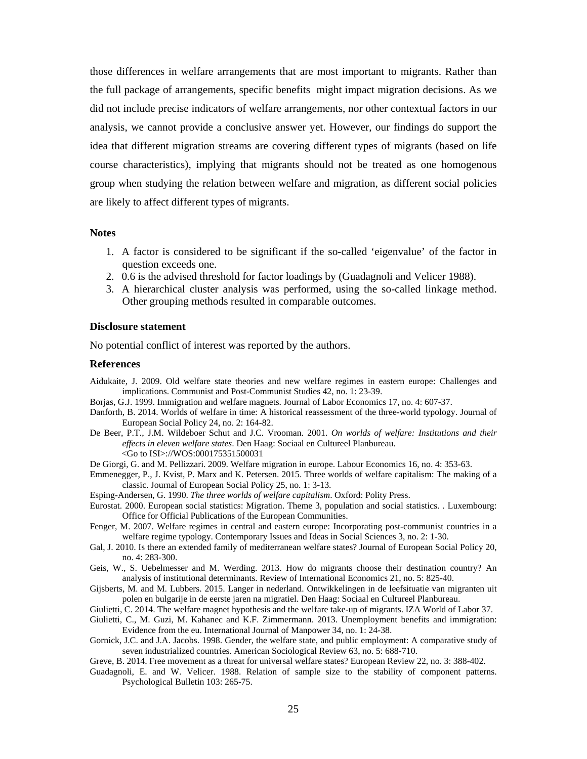those differences in welfare arrangements that are most important to migrants. Rather than the full package of arrangements, specific benefits might impact migration decisions. As we did not include precise indicators of welfare arrangements, nor other contextual factors in our analysis, we cannot provide a conclusive answer yet. However, our findings do support the idea that different migration streams are covering different types of migrants (based on life course characteristics), implying that migrants should not be treated as one homogenous group when studying the relation between welfare and migration, as different social policies are likely to affect different types of migrants.

#### **Notes**

- 1. A factor is considered to be significant if the so-called 'eigenvalue' of the factor in question exceeds one.
- 2. 0.6 is the advised threshold for factor loadings by (Guadagnoli and Velicer 1988).
- 3. A hierarchical cluster analysis was performed, using the so-called linkage method. Other grouping methods resulted in comparable outcomes.

### **Disclosure statement**

No potential conflict of interest was reported by the authors.

#### **References**

- Aidukaite, J. 2009. Old welfare state theories and new welfare regimes in eastern europe: Challenges and implications. Communist and Post-Communist Studies 42, no. 1: 23-39.
- Borjas, G.J. 1999. Immigration and welfare magnets. Journal of Labor Economics 17, no. 4: 607-37.
- Danforth, B. 2014. Worlds of welfare in time: A historical reassessment of the three-world typology. Journal of European Social Policy 24, no. 2: 164-82.
- De Beer, P.T., J.M. Wildeboer Schut and J.C. Vrooman. 2001. *On worlds of welfare: Institutions and their effects in eleven welfare states*. Den Haag: Sociaal en Cultureel Planbureau. <Go to ISI>://WOS:000175351500031
- De Giorgi, G. and M. Pellizzari. 2009. Welfare migration in europe. Labour Economics 16, no. 4: 353-63.
- Emmenegger, P., J. Kvist, P. Marx and K. Petersen. 2015. Three worlds of welfare capitalism: The making of a classic. Journal of European Social Policy 25, no. 1: 3-13.
- Esping-Andersen, G. 1990. *The three worlds of welfare capitalism*. Oxford: Polity Press.
- Eurostat. 2000. European social statistics: Migration. Theme 3, population and social statistics. . Luxembourg: Office for Official Publications of the European Communities.
- Fenger, M. 2007. Welfare regimes in central and eastern europe: Incorporating post-communist countries in a welfare regime typology. Contemporary Issues and Ideas in Social Sciences 3, no. 2: 1-30.
- Gal, J. 2010. Is there an extended family of mediterranean welfare states? Journal of European Social Policy 20, no. 4: 283-300.
- Geis, W., S. Uebelmesser and M. Werding. 2013. How do migrants choose their destination country? An analysis of institutional determinants. Review of International Economics 21, no. 5: 825-40.
- Gijsberts, M. and M. Lubbers. 2015. Langer in nederland. Ontwikkelingen in de leefsituatie van migranten uit polen en bulgarije in de eerste jaren na migratiel. Den Haag: Sociaal en Cultureel Planbureau.

Giulietti, C. 2014. The welfare magnet hypothesis and the welfare take-up of migrants. IZA World of Labor 37.

- Giulietti, C., M. Guzi, M. Kahanec and K.F. Zimmermann. 2013. Unemployment benefits and immigration: Evidence from the eu. International Journal of Manpower 34, no. 1: 24-38.
- Gornick, J.C. and J.A. Jacobs. 1998. Gender, the welfare state, and public employment: A comparative study of seven industrialized countries. American Sociological Review 63, no. 5: 688-710.

Greve, B. 2014. Free movement as a threat for universal welfare states? European Review 22, no. 3: 388-402.

Guadagnoli, E. and W. Velicer. 1988. Relation of sample size to the stability of component patterns. Psychological Bulletin 103: 265-75.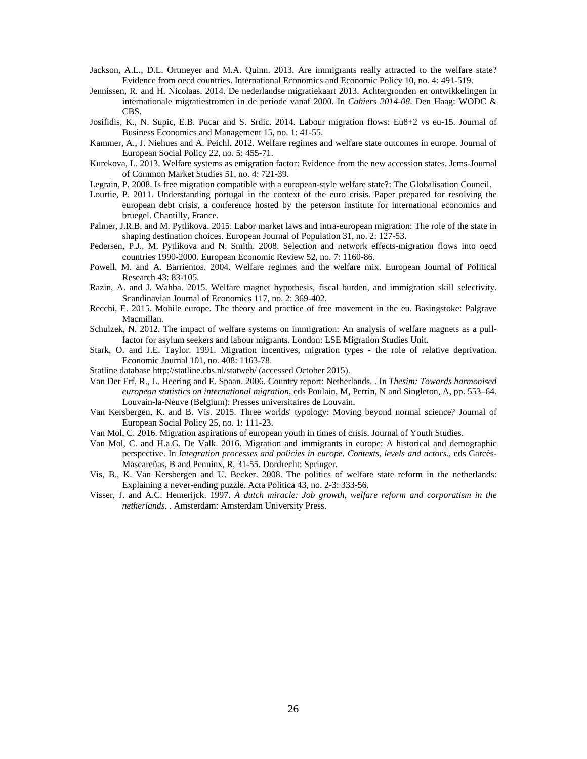- Jackson, A.L., D.L. Ortmeyer and M.A. Quinn. 2013. Are immigrants really attracted to the welfare state? Evidence from oecd countries. International Economics and Economic Policy 10, no. 4: 491-519.
- Jennissen, R. and H. Nicolaas. 2014. De nederlandse migratiekaart 2013. Achtergronden en ontwikkelingen in internationale migratiestromen in de periode vanaf 2000. In *Cahiers 2014-08*. Den Haag: WODC & CBS.
- Josifidis, K., N. Supic, E.B. Pucar and S. Srdic. 2014. Labour migration flows: Eu8+2 vs eu-15. Journal of Business Economics and Management 15, no. 1: 41-55.
- Kammer, A., J. Niehues and A. Peichl. 2012. Welfare regimes and welfare state outcomes in europe. Journal of European Social Policy 22, no. 5: 455-71.
- Kurekova, L. 2013. Welfare systems as emigration factor: Evidence from the new accession states. Jcms-Journal of Common Market Studies 51, no. 4: 721-39.
- Legrain, P. 2008. Is free migration compatible with a european-style welfare state?: The Globalisation Council.
- Lourtie, P. 2011. Understanding portugal in the context of the euro crisis. Paper prepared for resolving the european debt crisis, a conference hosted by the peterson institute for international economics and bruegel. Chantilly, France.
- Palmer, J.R.B. and M. Pytlikova. 2015. Labor market laws and intra-european migration: The role of the state in shaping destination choices. European Journal of Population 31, no. 2: 127-53.
- Pedersen, P.J., M. Pytlikova and N. Smith. 2008. Selection and network effects-migration flows into oecd countries 1990-2000. European Economic Review 52, no. 7: 1160-86.
- Powell, M. and A. Barrientos. 2004. Welfare regimes and the welfare mix. European Journal of Political Research 43: 83-105.
- Razin, A. and J. Wahba. 2015. Welfare magnet hypothesis, fiscal burden, and immigration skill selectivity. Scandinavian Journal of Economics 117, no. 2: 369-402.
- Recchi, E. 2015. Mobile europe. The theory and practice of free movement in the eu. Basingstoke: Palgrave Macmillan.
- Schulzek, N. 2012. The impact of welfare systems on immigration: An analysis of welfare magnets as a pullfactor for asylum seekers and labour migrants. London: LSE Migration Studies Unit.
- Stark, O. and J.E. Taylor. 1991. Migration incentives, migration types the role of relative deprivation. Economic Journal 101, no. 408: 1163-78.
- Statline database http://statline.cbs.nl/statweb/ (accessed October 2015).
- Van Der Erf, R., L. Heering and E. Spaan. 2006. Country report: Netherlands. . In *Thesim: Towards harmonised european statistics on international migration*, eds Poulain, M, Perrin, N and Singleton, A, pp. 553–64. Louvain-la-Neuve (Belgium): Presses universitaires de Louvain.
- Van Kersbergen, K. and B. Vis. 2015. Three worlds' typology: Moving beyond normal science? Journal of European Social Policy 25, no. 1: 111-23.
- Van Mol, C. 2016. Migration aspirations of european youth in times of crisis. Journal of Youth Studies.
- Van Mol, C. and H.a.G. De Valk. 2016. Migration and immigrants in europe: A historical and demographic perspective. In *Integration processes and policies in europe. Contexts, levels and actors.*, eds Garcés-Mascareñas, B and Penninx, R, 31-55. Dordrecht: Springer.
- Vis, B., K. Van Kersbergen and U. Becker. 2008. The politics of welfare state reform in the netherlands: Explaining a never-ending puzzle. Acta Politica 43, no. 2-3: 333-56.
- Visser, J. and A.C. Hemerijck. 1997. *A dutch miracle: Job growth, welfare reform and corporatism in the netherlands.* . Amsterdam: Amsterdam University Press.